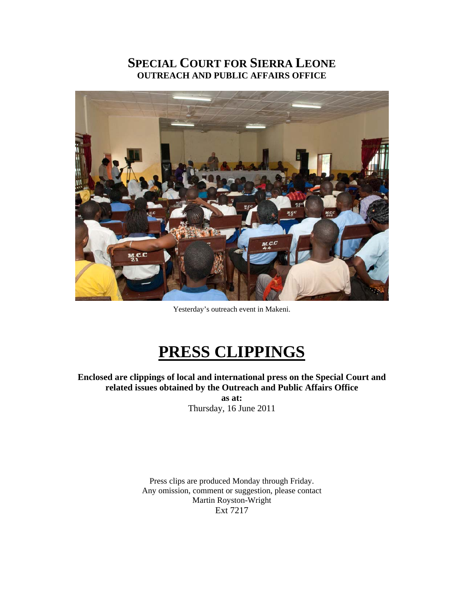#### **SPECIAL COURT FOR SIERRA LEONE OUTREACH AND PUBLIC AFFAIRS OFFICE**



Yesterday's outreach event in Makeni.

## **PRESS CLIPPINGS**

**Enclosed are clippings of local and international press on the Special Court and related issues obtained by the Outreach and Public Affairs Office** 

**as at:**  Thursday, 16 June 2011

Press clips are produced Monday through Friday. Any omission, comment or suggestion, please contact Martin Royston-Wright Ext 7217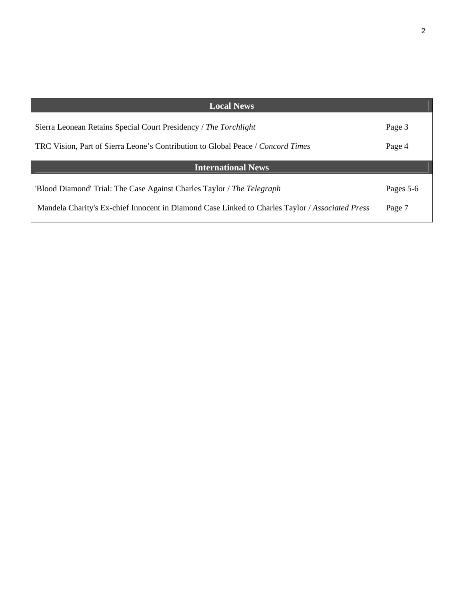| <b>Local News</b>                                                                               |           |
|-------------------------------------------------------------------------------------------------|-----------|
| Sierra Leonean Retains Special Court Presidency / The Torchlight                                | Page 3    |
| TRC Vision, Part of Sierra Leone's Contribution to Global Peace / Concord Times                 | Page 4    |
| <b>International News</b>                                                                       |           |
|                                                                                                 |           |
| 'Blood Diamond' Trial: The Case Against Charles Taylor / The Telegraph                          | Pages 5-6 |
| Mandela Charity's Ex-chief Innocent in Diamond Case Linked to Charles Taylor / Associated Press | Page 7    |
|                                                                                                 |           |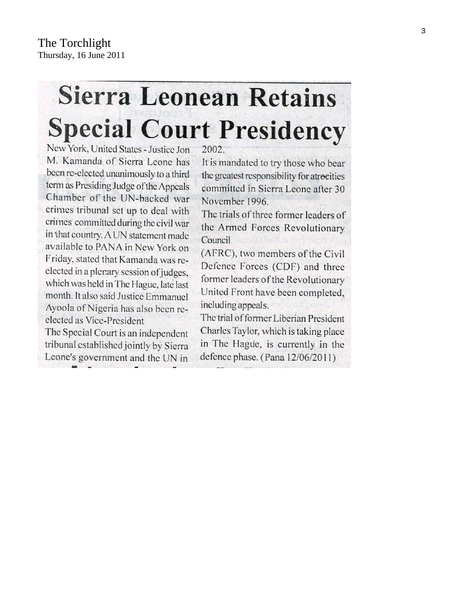# **Sierra Leonean Retains Special Court Presidency**

New York, United States - Justice Jon M. Kamanda of Sierra Leone has been re-elected unanimously to a third term as Presiding Judge of the Appeals Chamber of the UN-backed war crimes tribunal set up to deal with crimes committed during the civil war in that country. A UN statement made available to PANA in New York on Friday, stated that Kamanda was reelected in a plenary session of judges, which was held in The Hague, late last month. It also said Justice Emmanuel Ayoola of Nigeria has also been reelected as Vice-President

The Special Court is an independent tribunal established jointly by Sierra Leone's government and the UN in 2002.

It is mandated to try those who bear the greatest responsibility for atrocities committed in Sierra Leone after 30 November 1996.

The trials of three former leaders of the Armed Forces Revolutionary Council

(AFRC), two members of the Civil Defence Forces (CDF) and three former leaders of the Revolutionary United Front have been completed, including appeals.

The trial of former Liberian President Charles Taylor, which is taking place in The Hague, is currently in the defence phase. (Pana 12/06/2011)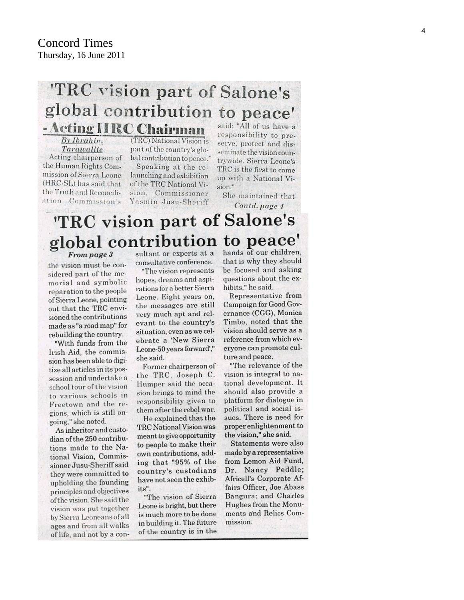### 'TRC vision part of Salone's global contribution to peace' - Acting HRC Chairman

By Ibrahin Tarawallie Acting chairperson of the Human Rights Commission of Sierra Leone (HRC-SL) has said that the Truth and Reconciliation Commission's

(TRC) National Vision is part of the country's global contribution to peace. Speaking at the re-

launching and exhibition of the TRC National Vision. Commissioner Yasmin Jusu-Sheriff

said: "All of us have a responsibility to preserve, protect and disseminate the vision countrywide. Sierra Leone's TRC is the first to come up with a National Vision."

She maintained that Contd. page 4

# 'TRC vision part of Salone's global contribution to peace'

From page 3

the vision must be considered part of the memorial and symbolic reparation to the people of Sierra Leone, pointing out that the TRC envisioned the contributions made as "a road map" for rebuilding the country.

"With funds from the Irish Aid, the commission has been able to digitize all articles in its possession and undertake a school tour of the vision to various schools in Freetown and the regions, which is still ongoing," she noted.

As inheritor and custodian of the 250 contributions made to the National Vision, Commissioner Jusu-Sheriff said they were committed to upholding the founding principles and objectives of the vision. She said the vision was put together by Sierra Leoneans of all ages and from all walks of life, and not by a con-

sultant or experts at a consultative conference.

"The vision represents hopes, dreams and aspirations for a better Sierra Leone. Eight years on, the messages are still very much apt and relevant to the country's situation, even as we celebrate a 'New Sierra Leone-50 years forward'," she said.

Former chairperson of the TRC, Joseph C. Humper said the occasion brings to mind the responsibility given to them after the rebel war.

He explained that the TRC National Vision was meant to give opportunity to people to make their own contributions, adding that "95% of the country's custodians have not seen the exhibits".

"The vision of Sierra Leone is bright, but there is much more to be done in building it. The future of the country is in the

hands of our children. that is why they should be focused and asking questions about the exhibits." he said.

Representative from Campaign for Good Governance (CGG), Monica Timbo, noted that the vision should serve as a reference from which evervone can promote culture and peace.

"The relevance of the vision is integral to national development. It should also provide a platform for dialogue in political and social issues. There is need for proper enlightenment to the vision," she said.

Statements were also made by a representative from Lemon Aid Fund, Dr. Nancy Peddle; Africell's Corporate Affairs Officer, Joe Abass Bangura; and Charles Hughes from the Monuments and Relics Commission.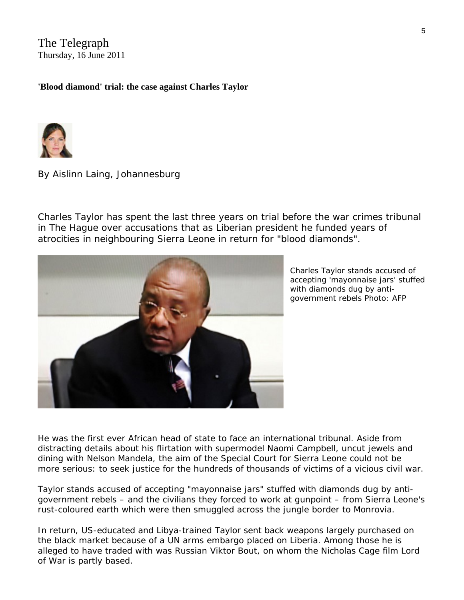The Telegraph Thursday, 16 June 2011

**'Blood diamond' trial: the case against Charles Taylor** 



By [Aislinn Laing](http://www.telegraph.co.uk/journalists/aislinn-laing/), Johannesburg

Charles Taylor has spent the last three years on trial before the war crimes tribunal in The Hague over accusations that as Liberian president he funded years of atrocities in neighbouring Sierra Leone in return for "blood diamonds".



*Charles Taylor stands accused of accepting 'mayonnaise jars' s tuffed with diamonds dug by antigovernment rebels Photo: AFP* 

He was the first ever African head of state to face an international tribunal. Aside from distracting details about his flirtation with supermodel Naomi Campbell, uncut jewels and dining with Nelson Mandela, the aim of the Special Court for Sierra Leone could not be more serious: to seek justice for the hundreds of thousands of victims of a vicious civil war.

Taylor stands accused of accepting "mayonnaise jars" stuffed with diamonds dug by antigovernment rebels – and the civilians they forced to work at gunpoint – from Sierra Leone's rust-coloured earth which were then smuggled across the jungle border to Monrovia.

In return, US-educated and Libya-trained Taylor sent back weapons largely purchased on the black market because of a UN arms embargo placed on Liberia. Among those he is alleged to have traded with was Russian Viktor Bout, on whom the Nicholas Cage film Lord of War is partly based.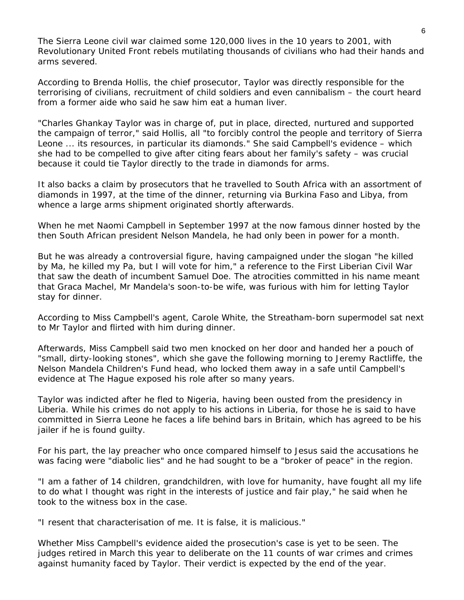The Sierra Leone civil war claimed some 120,000 lives in the 10 years to 2001, with Revolutionary United Front rebels mutilating thousands of civilians who had their hands and arms severed.

According to Brenda Hollis, the chief prosecutor, Taylor was directly responsible for the terrorising of civilians, recruitment of child soldiers and even cannibalism – the court heard from a former aide who said he saw him eat a human liver.

"Charles Ghankay Taylor was in charge of, put in place, directed, nurtured and supported the campaign of terror," said Hollis, all "to forcibly control the people and territory of Sierra Leone ... its resources, in particular its diamonds." She said Campbell's evidence – which she had to be compelled to give after citing fears about her family's safety – was crucial because it could tie Taylor directly to the trade in diamonds for arms.

It also backs a claim by prosecutors that he travelled to South Africa with an assortment of diamonds in 1997, at the time of the dinner, returning via Burkina Faso and Libya, from whence a large arms shipment originated shortly afterwards.

When he met Naomi Campbell in September 1997 at the now famous dinner hosted by the then South African president Nelson Mandela, he had only been in power for a month.

But he was already a controversial figure, having campaigned under the slogan "he killed by Ma, he killed my Pa, but I will vote for him," a reference to the First Liberian Civil War that saw the death of incumbent Samuel Doe. The atrocities committed in his name meant that Graca Machel, Mr Mandela's soon-to-be wife, was furious with him for letting Taylor stay for dinner.

According to Miss Campbell's agent, Carole White, the Streatham-born supermodel sat next to Mr Taylor and flirted with him during dinner.

Afterwards, Miss Campbell said two men knocked on her door and handed her a pouch of "small, dirty-looking stones", which she gave the following morning to Jeremy Ractliffe, the Nelson Mandela Children's Fund head, who locked them away in a safe until Campbell's evidence at The Hague exposed his role after so many years.

Taylor was indicted after he fled to Nigeria, having been ousted from the presidency in Liberia. While his crimes do not apply to his actions in Liberia, for those he is said to have committed in Sierra Leone he faces a life behind bars in Britain, which has agreed to be his jailer if he is found guilty.

For his part, the lay preacher who once compared himself to Jesus said the accusations he was facing were "diabolic lies" and he had sought to be a "broker of peace" in the region.

"I am a father of 14 children, grandchildren, with love for humanity, have fought all my life to do what I thought was right in the interests of justice and fair play," he said when he took to the witness box in the case.

"I resent that characterisation of me. It is false, it is malicious."

Whether Miss Campbell's evidence aided the prosecution's case is yet to be seen. The judges retired in March this year to deliberate on the 11 counts of war crimes and crimes against humanity faced by Taylor. Their verdict is expected by the end of the year.